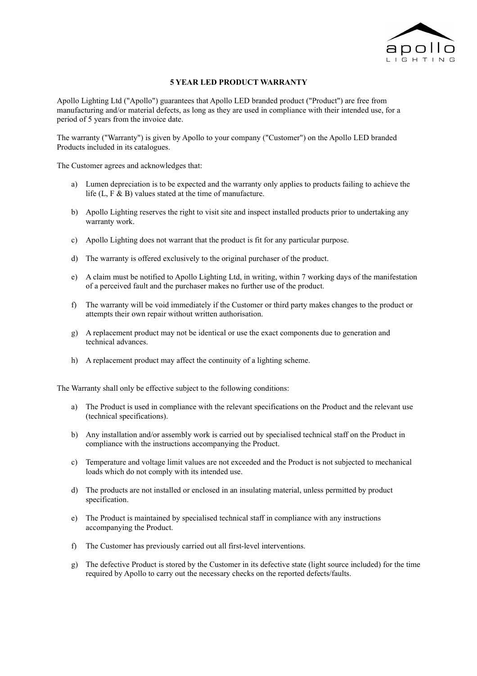

## **5 YEAR LED PRODUCT WARRANTY**

Apollo Lighting Ltd ("Apollo") guarantees that Apollo LED branded product ("Product") are free from manufacturing and/or material defects, as long as they are used in compliance with their intended use, for a period of 5 years from the invoice date.

The warranty ("Warranty") is given by Apollo to your company ("Customer") on the Apollo LED branded Products included in its catalogues.

The Customer agrees and acknowledges that:

- a) Lumen depreciation is to be expected and the warranty only applies to products failing to achieve the life  $(L, F & B)$  values stated at the time of manufacture.
- b) Apollo Lighting reserves the right to visit site and inspect installed products prior to undertaking any warranty work.
- c) Apollo Lighting does not warrant that the product is fit for any particular purpose.
- d) The warranty is offered exclusively to the original purchaser of the product.
- e) A claim must be notified to Apollo Lighting Ltd, in writing, within 7 working days of the manifestation of a perceived fault and the purchaser makes no further use of the product.
- f) The warranty will be void immediately if the Customer or third party makes changes to the product or attempts their own repair without written authorisation.
- g) A replacement product may not be identical or use the exact components due to generation and technical advances.
- h) A replacement product may affect the continuity of a lighting scheme.

The Warranty shall only be effective subject to the following conditions:

- a) The Product is used in compliance with the relevant specifications on the Product and the relevant use (technical specifications).
- b) Any installation and/or assembly work is carried out by specialised technical staff on the Product in compliance with the instructions accompanying the Product.
- c) Temperature and voltage limit values are not exceeded and the Product is not subjected to mechanical loads which do not comply with its intended use.
- d) The products are not installed or enclosed in an insulating material, unless permitted by product specification.
- e) The Product is maintained by specialised technical staff in compliance with any instructions accompanying the Product.
- f) The Customer has previously carried out all first-level interventions.
- g) The defective Product is stored by the Customer in its defective state (light source included) for the time required by Apollo to carry out the necessary checks on the reported defects/faults.